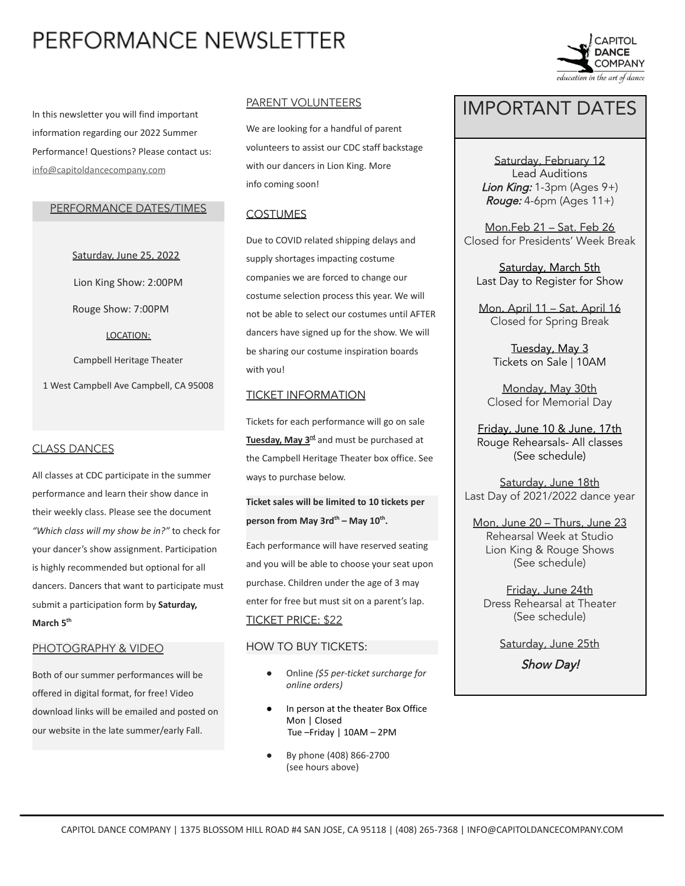# PERFORMANCE NEWSLETTER

In this newsletter you will find important information regarding our 2022 Summer Performance! Questions? Please contact us: [info@capitoldancecompany.com](mailto:info@capitoldancecompany.com)

### PERFORMANCE DATES/TIMES

Saturday, June 25, 2022 Lion King Show: 2:00PM Rouge Show: 7:00PM LOCATION: Campbell Heritage Theater 1 West Campbell Ave Campbell, CA 95008

### CLASS DANCES

All classes at CDC participate in the summer performance and learn their show dance in their weekly class. Please see the document *"Which class will my show be in?"* to check for your dancer's show assignment. Participation is highly recommended but optional for all dancers. Dancers that want to participate must submit a participation form by **Saturday, March 5th**

#### PHOTOGRAPHY & VIDEO

Both of our summer performances will be offered in digital format, for free! Video download links will be emailed and posted on our website in the late summer/early Fall.

### PARENT VOLUNTEERS

We are looking for a handful of parent volunteers to assist our CDC staff backstage with our dancers in Lion King. More info coming soon!

### **COSTUMES**

Due to COVID related shipping delays and supply shortages impacting costume companies we are forced to change our costume selection process this year. We will not be able to select our costumes until AFTER dancers have signed up for the show. We will be sharing our costume inspiration boards with you!

#### TICKET INFORMATION

Tickets for each performance will go on sale **Tuesday, May 3rd** and must be purchased at the Campbell Heritage Theater box office. See ways to purchase below.

**Ticket sales will be limited to 10 tickets per person from May 3rd th – May 10th .**

Each performance will have reserved seating and you will be able to choose your seat upon purchase. Children under the age of 3 may enter for free but must sit on a parent's lap. TICKET PRICE: \$22

### HOW TO BUY TICKETS:

- *●* Online *(\$5 per-ticket surcharge for online orders)*
- In person at the theater Box Office Mon | Closed Tue –Friday | 10AM – 2PM
- By phone (408) 866-2700 (see hours above)



# IMPORTANT DATES

Saturday, February 12 Lead Auditions Lion King:  $1-3$ pm (Ages  $9+$ ) Rouge:  $4-6$ pm (Ages  $11+$ )

Mon.Feb 21 – Sat. Feb 26 Closed for Presidents' Week Break

Saturday, March 5th Last Day to Register for Show

Mon. April 11 – Sat. April 16 Closed for Spring Break

> Tuesday, May 3 Tickets on Sale | 10AM

Monday, May 30th Closed for Memorial Day

Friday, June 10 & June, 17th Rouge Rehearsals- All classes (See schedule)

Saturday, June 18th Last Day of 2021/2022 dance year

Mon, June 20 – Thurs, June 23 Rehearsal Week at Studio Lion King & Rouge Shows (See schedule)

Friday, June 24th Dress Rehearsal at Theater (See schedule)

Saturday, June 25th

Show Day!